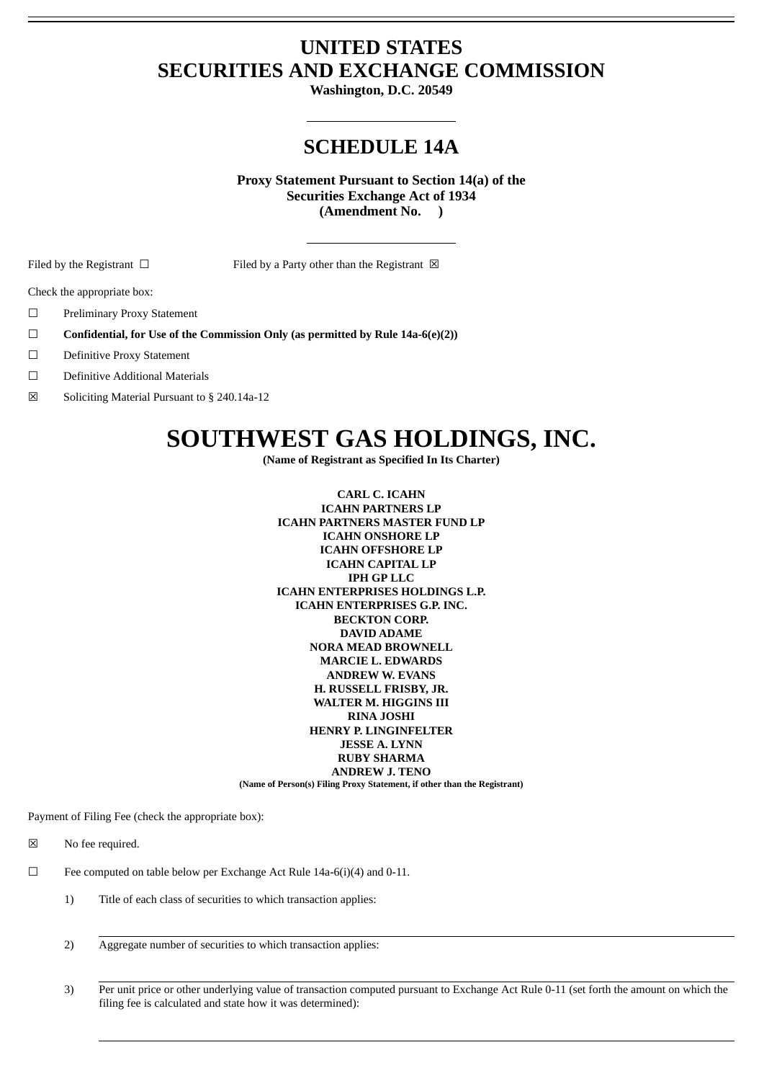# **UNITED STATES SECURITIES AND EXCHANGE COMMISSION**

**Washington, D.C. 20549**

# **SCHEDULE 14A**

**Proxy Statement Pursuant to Section 14(a) of the Securities Exchange Act of 1934 (Amendment No. )**

Filed by the Registrant □ Filed by a Party other than the Registrant ⊠

Check the appropriate box:

- ☐ Preliminary Proxy Statement
- ☐ **Confidential, for Use of the Commission Only (as permitted by Rule 14a-6(e)(2))**
- ☐ Definitive Proxy Statement
- ☐ Definitive Additional Materials
- ☒ Soliciting Material Pursuant to § 240.14a-12

# **SOUTHWEST GAS HOLDINGS, INC.**

**(Name of Registrant as Specified In Its Charter)**

**CARL C. ICAHN ICAHN PARTNERS LP ICAHN PARTNERS MASTER FUND LP ICAHN ONSHORE LP ICAHN OFFSHORE LP ICAHN CAPITAL LP IPH GP LLC ICAHN ENTERPRISES HOLDINGS L.P. ICAHN ENTERPRISES G.P. INC. BECKTON CORP. DAVID ADAME NORA MEAD BROWNELL MARCIE L. EDWARDS ANDREW W. EVANS H. RUSSELL FRISBY, JR. WALTER M. HIGGINS III RINA JOSHI HENRY P. LINGINFELTER JESSE A. LYNN RUBY SHARMA ANDREW J. TENO (Name of Person(s) Filing Proxy Statement, if other than the Registrant)**

Payment of Filing Fee (check the appropriate box):

☒ No fee required.

☐ Fee computed on table below per Exchange Act Rule 14a-6(i)(4) and 0-11.

- 1) Title of each class of securities to which transaction applies:
- 2) Aggregate number of securities to which transaction applies:
- 3) Per unit price or other underlying value of transaction computed pursuant to Exchange Act Rule 0-11 (set forth the amount on which the filing fee is calculated and state how it was determined):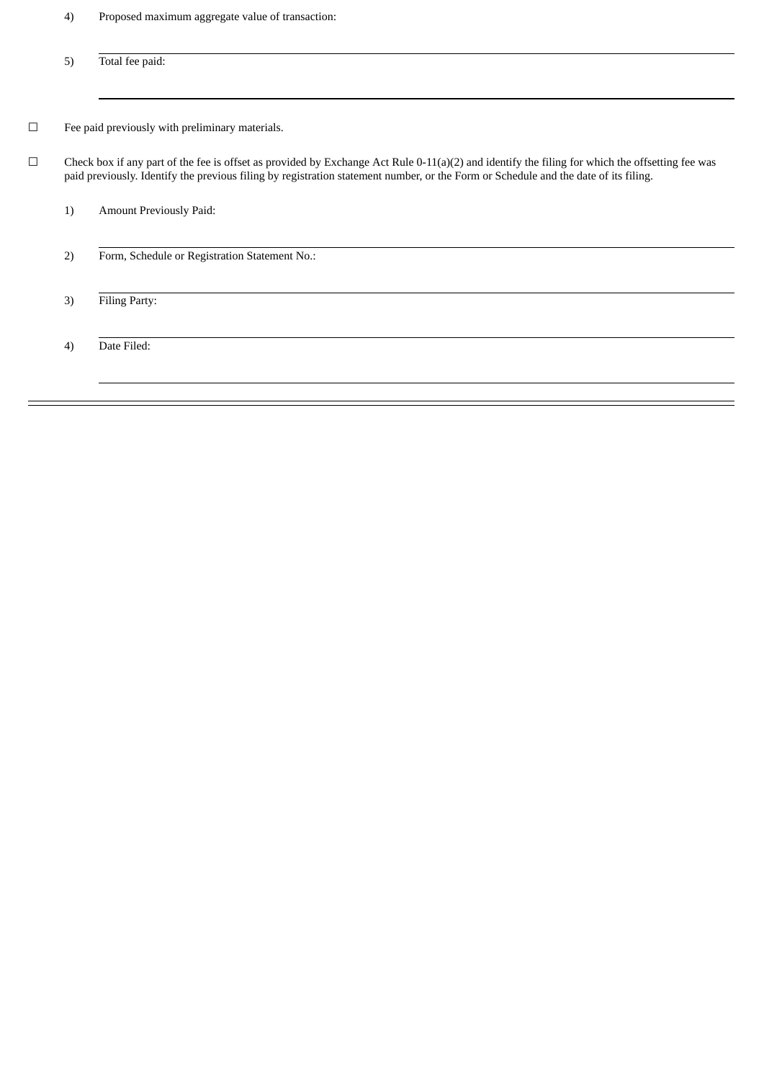4) Proposed maximum aggregate value of transaction:

5) Total fee paid: ☐ Fee paid previously with preliminary materials. ☐ Check box if any part of the fee is offset as provided by Exchange Act Rule 0-11(a)(2) and identify the filing for which the offsetting fee was paid previously. Identify the previous filing by registration statement number, or the Form or Schedule and the date of its filing. 1) Amount Previously Paid: 2) Form, Schedule or Registration Statement No.: 3) Filing Party: 4) Date Filed: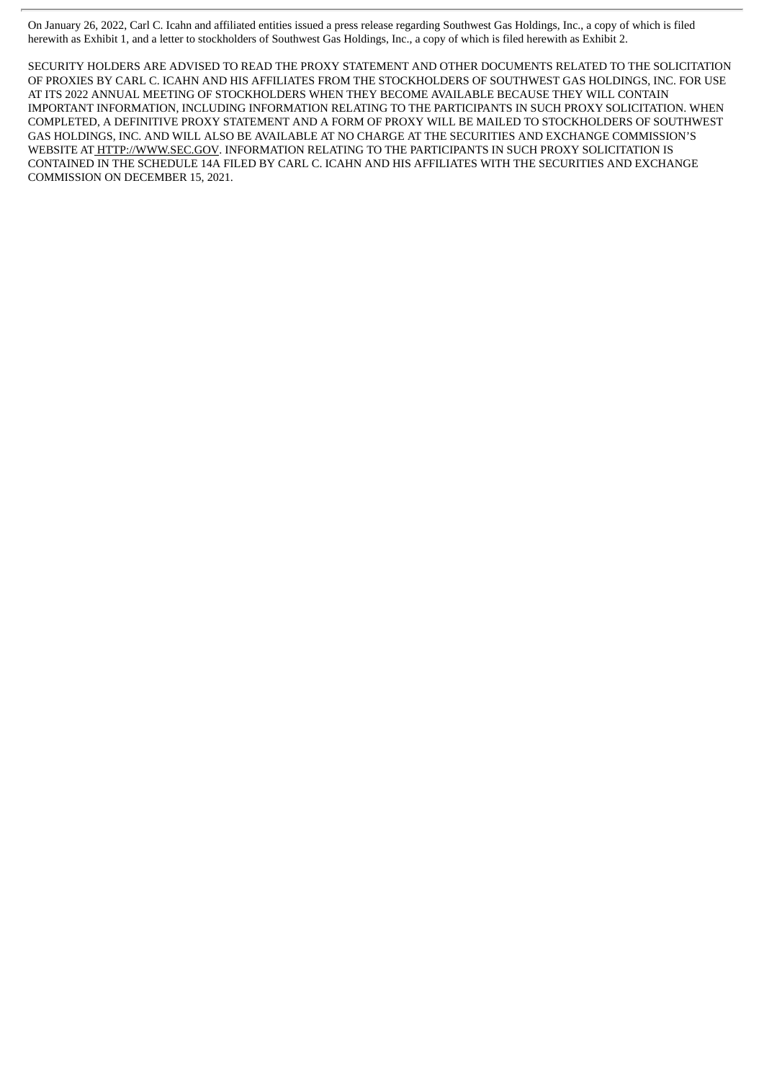On January 26, 2022, Carl C. Icahn and affiliated entities issued a press release regarding Southwest Gas Holdings, Inc., a copy of which is filed herewith as Exhibit 1, and a letter to stockholders of Southwest Gas Holdings, Inc., a copy of which is filed herewith as Exhibit 2.

SECURITY HOLDERS ARE ADVISED TO READ THE PROXY STATEMENT AND OTHER DOCUMENTS RELATED TO THE SOLICITATION OF PROXIES BY CARL C. ICAHN AND HIS AFFILIATES FROM THE STOCKHOLDERS OF SOUTHWEST GAS HOLDINGS, INC. FOR USE AT ITS 2022 ANNUAL MEETING OF STOCKHOLDERS WHEN THEY BECOME AVAILABLE BECAUSE THEY WILL CONTAIN IMPORTANT INFORMATION, INCLUDING INFORMATION RELATING TO THE PARTICIPANTS IN SUCH PROXY SOLICITATION. WHEN COMPLETED, A DEFINITIVE PROXY STATEMENT AND A FORM OF PROXY WILL BE MAILED TO STOCKHOLDERS OF SOUTHWEST GAS HOLDINGS, INC. AND WILL ALSO BE AVAILABLE AT NO CHARGE AT THE SECURITIES AND EXCHANGE COMMISSION'S WEBSITE AT HTTP://WWW.SEC.GOV. INFORMATION RELATING TO THE PARTICIPANTS IN SUCH PROXY SOLICITATION IS CONTAINED IN THE SCHEDULE 14A FILED BY CARL C. ICAHN AND HIS AFFILIATES WITH THE SECURITIES AND EXCHANGE COMMISSION ON DECEMBER 15, 2021.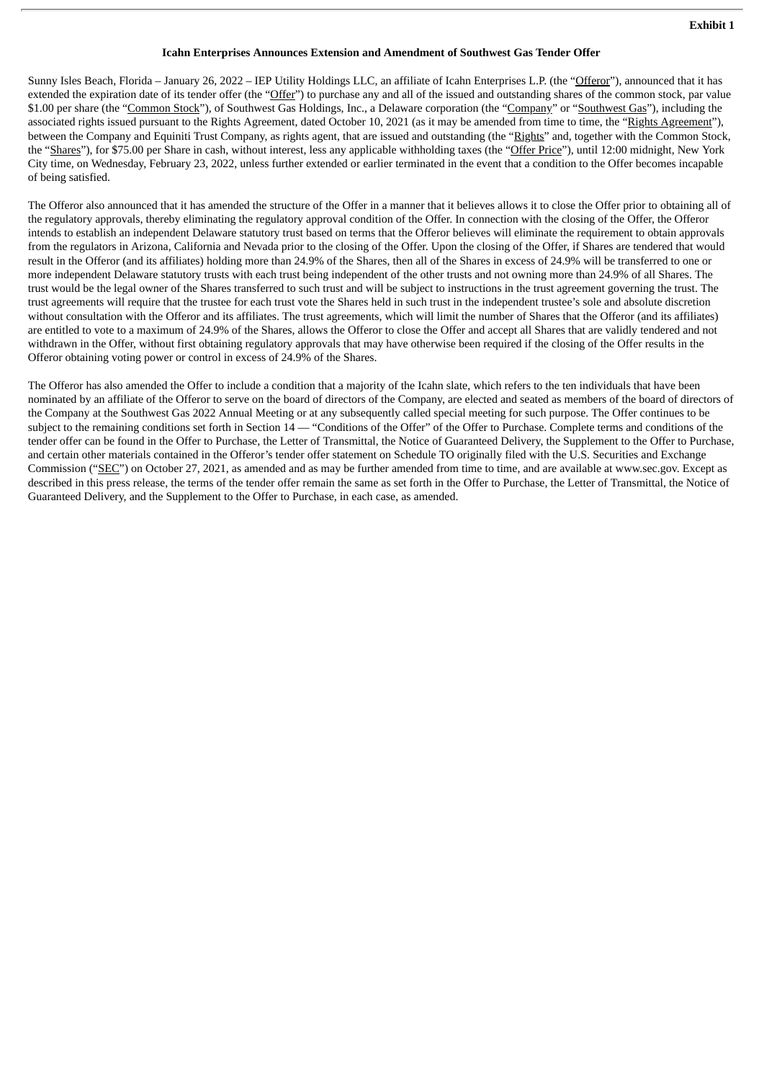#### **Icahn Enterprises Announces Extension and Amendment of Southwest Gas Tender Offer**

Sunny Isles Beach, Florida – January 26, 2022 – IEP Utility Holdings LLC, an affiliate of Icahn Enterprises L.P. (the "Offeror"), announced that it has extended the expiration date of its tender offer (the "Offer") to purchase any and all of the issued and outstanding shares of the common stock, par value \$1.00 per share (the "Common Stock"), of Southwest Gas Holdings, Inc., a Delaware corporation (the "Company" or "Southwest Gas"), including the associated rights issued pursuant to the Rights Agreement, dated October 10, 2021 (as it may be amended from time to time, the "Rights Agreement"), between the Company and Equiniti Trust Company, as rights agent, that are issued and outstanding (the "Rights" and, together with the Common Stock, the "Shares"), for \$75.00 per Share in cash, without interest, less any applicable withholding taxes (the "Offer Price"), until 12:00 midnight, New York City time, on Wednesday, February 23, 2022, unless further extended or earlier terminated in the event that a condition to the Offer becomes incapable of being satisfied.

The Offeror also announced that it has amended the structure of the Offer in a manner that it believes allows it to close the Offer prior to obtaining all of the regulatory approvals, thereby eliminating the regulatory approval condition of the Offer. In connection with the closing of the Offer, the Offeror intends to establish an independent Delaware statutory trust based on terms that the Offeror believes will eliminate the requirement to obtain approvals from the regulators in Arizona, California and Nevada prior to the closing of the Offer. Upon the closing of the Offer, if Shares are tendered that would result in the Offeror (and its affiliates) holding more than 24.9% of the Shares, then all of the Shares in excess of 24.9% will be transferred to one or more independent Delaware statutory trusts with each trust being independent of the other trusts and not owning more than 24.9% of all Shares. The trust would be the legal owner of the Shares transferred to such trust and will be subject to instructions in the trust agreement governing the trust. The trust agreements will require that the trustee for each trust vote the Shares held in such trust in the independent trustee's sole and absolute discretion without consultation with the Offeror and its affiliates. The trust agreements, which will limit the number of Shares that the Offeror (and its affiliates) are entitled to vote to a maximum of 24.9% of the Shares, allows the Offeror to close the Offer and accept all Shares that are validly tendered and not withdrawn in the Offer, without first obtaining regulatory approvals that may have otherwise been required if the closing of the Offer results in the Offeror obtaining voting power or control in excess of 24.9% of the Shares.

The Offeror has also amended the Offer to include a condition that a majority of the Icahn slate, which refers to the ten individuals that have been nominated by an affiliate of the Offeror to serve on the board of directors of the Company, are elected and seated as members of the board of directors of the Company at the Southwest Gas 2022 Annual Meeting or at any subsequently called special meeting for such purpose. The Offer continues to be subject to the remaining conditions set forth in Section 14 — "Conditions of the Offer" of the Offer to Purchase. Complete terms and conditions of the tender offer can be found in the Offer to Purchase, the Letter of Transmittal, the Notice of Guaranteed Delivery, the Supplement to the Offer to Purchase, and certain other materials contained in the Offeror's tender offer statement on Schedule TO originally filed with the U.S. Securities and Exchange Commission ("SEC") on October 27, 2021, as amended and as may be further amended from time to time, and are available at www.sec.gov. Except as described in this press release, the terms of the tender offer remain the same as set forth in the Offer to Purchase, the Letter of Transmittal, the Notice of Guaranteed Delivery, and the Supplement to the Offer to Purchase, in each case, as amended.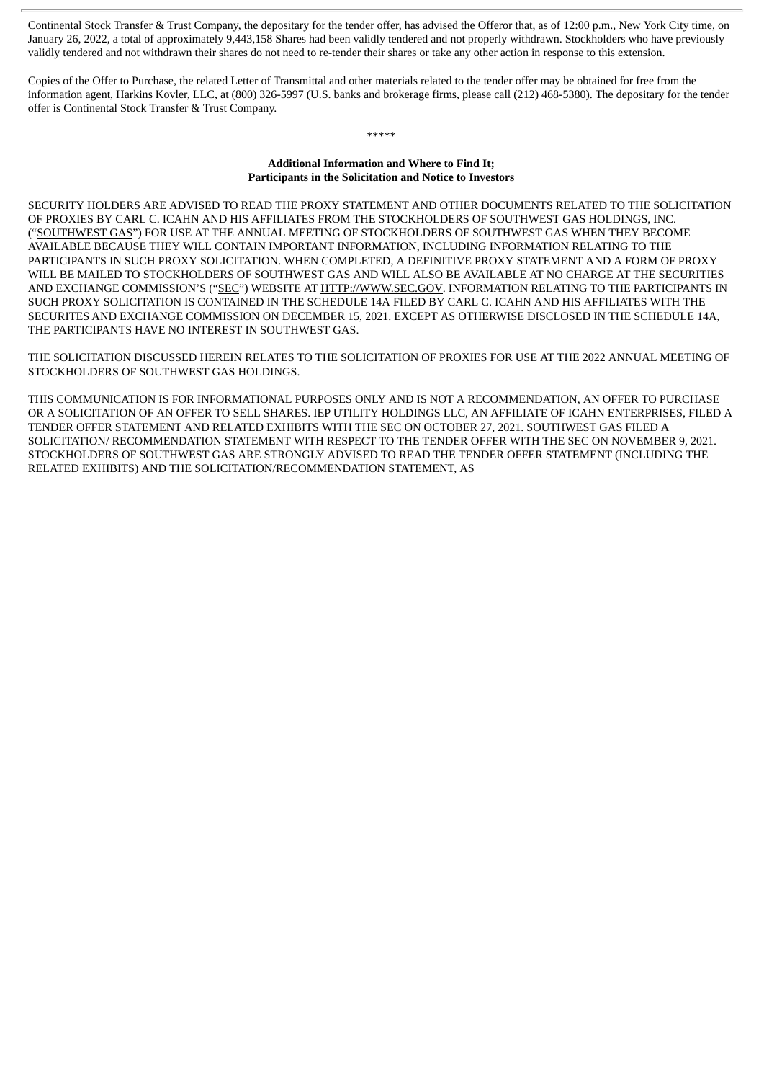Continental Stock Transfer & Trust Company, the depositary for the tender offer, has advised the Offeror that, as of 12:00 p.m., New York City time, on January 26, 2022, a total of approximately 9,443,158 Shares had been validly tendered and not properly withdrawn. Stockholders who have previously validly tendered and not withdrawn their shares do not need to re-tender their shares or take any other action in response to this extension.

Copies of the Offer to Purchase, the related Letter of Transmittal and other materials related to the tender offer may be obtained for free from the information agent, Harkins Kovler, LLC, at (800) 326-5997 (U.S. banks and brokerage firms, please call (212) 468-5380). The depositary for the tender offer is Continental Stock Transfer & Trust Company.

## \*\*\*\*\*

#### **Additional Information and Where to Find It; Participants in the Solicitation and Notice to Investors**

SECURITY HOLDERS ARE ADVISED TO READ THE PROXY STATEMENT AND OTHER DOCUMENTS RELATED TO THE SOLICITATION OF PROXIES BY CARL C. ICAHN AND HIS AFFILIATES FROM THE STOCKHOLDERS OF SOUTHWEST GAS HOLDINGS, INC. ("SOUTHWEST GAS") FOR USE AT THE ANNUAL MEETING OF STOCKHOLDERS OF SOUTHWEST GAS WHEN THEY BECOME AVAILABLE BECAUSE THEY WILL CONTAIN IMPORTANT INFORMATION, INCLUDING INFORMATION RELATING TO THE PARTICIPANTS IN SUCH PROXY SOLICITATION. WHEN COMPLETED, A DEFINITIVE PROXY STATEMENT AND A FORM OF PROXY WILL BE MAILED TO STOCKHOLDERS OF SOUTHWEST GAS AND WILL ALSO BE AVAILABLE AT NO CHARGE AT THE SECURITIES AND EXCHANGE COMMISSION'S ("SEC") WEBSITE AT HTTP://WWW.SEC.GOV. INFORMATION RELATING TO THE PARTICIPANTS IN SUCH PROXY SOLICITATION IS CONTAINED IN THE SCHEDULE 14A FILED BY CARL C. ICAHN AND HIS AFFILIATES WITH THE SECURITES AND EXCHANGE COMMISSION ON DECEMBER 15, 2021. EXCEPT AS OTHERWISE DISCLOSED IN THE SCHEDULE 14A, THE PARTICIPANTS HAVE NO INTEREST IN SOUTHWEST GAS.

THE SOLICITATION DISCUSSED HEREIN RELATES TO THE SOLICITATION OF PROXIES FOR USE AT THE 2022 ANNUAL MEETING OF STOCKHOLDERS OF SOUTHWEST GAS HOLDINGS.

THIS COMMUNICATION IS FOR INFORMATIONAL PURPOSES ONLY AND IS NOT A RECOMMENDATION, AN OFFER TO PURCHASE OR A SOLICITATION OF AN OFFER TO SELL SHARES. IEP UTILITY HOLDINGS LLC, AN AFFILIATE OF ICAHN ENTERPRISES, FILED A TENDER OFFER STATEMENT AND RELATED EXHIBITS WITH THE SEC ON OCTOBER 27, 2021. SOUTHWEST GAS FILED A SOLICITATION/ RECOMMENDATION STATEMENT WITH RESPECT TO THE TENDER OFFER WITH THE SEC ON NOVEMBER 9, 2021. STOCKHOLDERS OF SOUTHWEST GAS ARE STRONGLY ADVISED TO READ THE TENDER OFFER STATEMENT (INCLUDING THE RELATED EXHIBITS) AND THE SOLICITATION/RECOMMENDATION STATEMENT, AS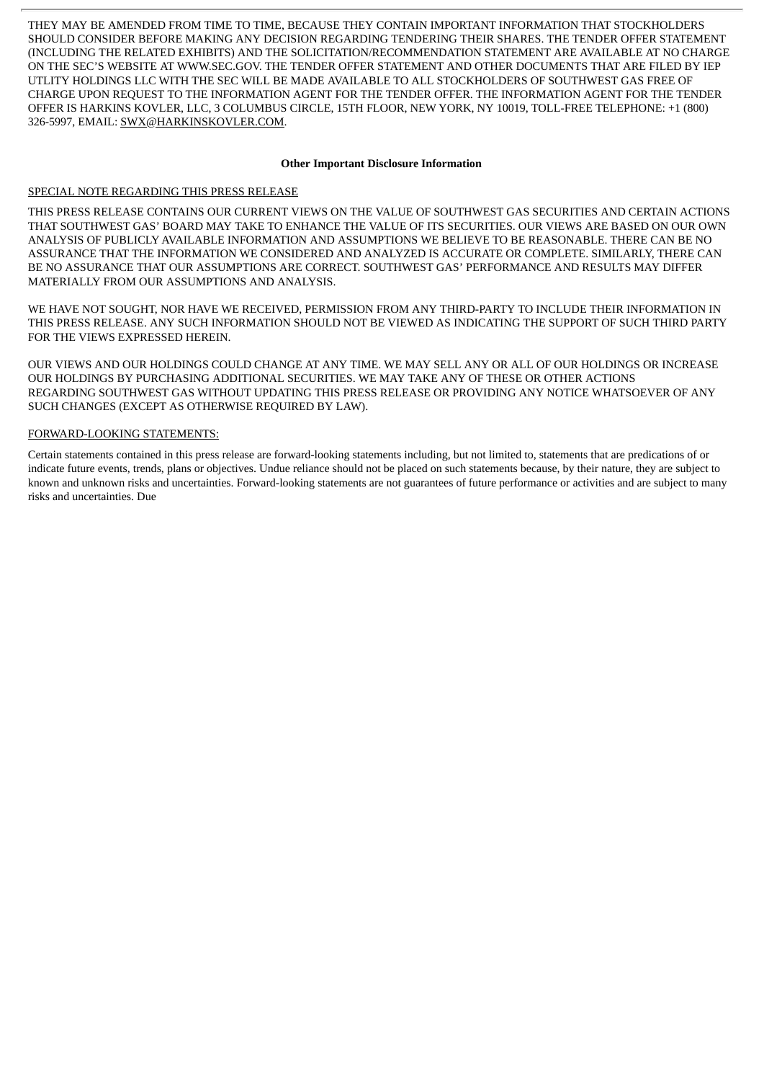THEY MAY BE AMENDED FROM TIME TO TIME, BECAUSE THEY CONTAIN IMPORTANT INFORMATION THAT STOCKHOLDERS SHOULD CONSIDER BEFORE MAKING ANY DECISION REGARDING TENDERING THEIR SHARES. THE TENDER OFFER STATEMENT (INCLUDING THE RELATED EXHIBITS) AND THE SOLICITATION/RECOMMENDATION STATEMENT ARE AVAILABLE AT NO CHARGE ON THE SEC'S WEBSITE AT WWW.SEC.GOV. THE TENDER OFFER STATEMENT AND OTHER DOCUMENTS THAT ARE FILED BY IEP UTLITY HOLDINGS LLC WITH THE SEC WILL BE MADE AVAILABLE TO ALL STOCKHOLDERS OF SOUTHWEST GAS FREE OF CHARGE UPON REQUEST TO THE INFORMATION AGENT FOR THE TENDER OFFER. THE INFORMATION AGENT FOR THE TENDER OFFER IS HARKINS KOVLER, LLC, 3 COLUMBUS CIRCLE, 15TH FLOOR, NEW YORK, NY 10019, TOLL-FREE TELEPHONE: +1 (800) 326-5997, EMAIL: SWX@HARKINSKOVLER.COM.

#### **Other Important Disclosure Information**

### SPECIAL NOTE REGARDING THIS PRESS RELEASE

THIS PRESS RELEASE CONTAINS OUR CURRENT VIEWS ON THE VALUE OF SOUTHWEST GAS SECURITIES AND CERTAIN ACTIONS THAT SOUTHWEST GAS' BOARD MAY TAKE TO ENHANCE THE VALUE OF ITS SECURITIES. OUR VIEWS ARE BASED ON OUR OWN ANALYSIS OF PUBLICLY AVAILABLE INFORMATION AND ASSUMPTIONS WE BELIEVE TO BE REASONABLE. THERE CAN BE NO ASSURANCE THAT THE INFORMATION WE CONSIDERED AND ANALYZED IS ACCURATE OR COMPLETE. SIMILARLY, THERE CAN BE NO ASSURANCE THAT OUR ASSUMPTIONS ARE CORRECT. SOUTHWEST GAS' PERFORMANCE AND RESULTS MAY DIFFER MATERIALLY FROM OUR ASSUMPTIONS AND ANALYSIS.

WE HAVE NOT SOUGHT, NOR HAVE WE RECEIVED, PERMISSION FROM ANY THIRD-PARTY TO INCLUDE THEIR INFORMATION IN THIS PRESS RELEASE. ANY SUCH INFORMATION SHOULD NOT BE VIEWED AS INDICATING THE SUPPORT OF SUCH THIRD PARTY FOR THE VIEWS EXPRESSED HEREIN.

OUR VIEWS AND OUR HOLDINGS COULD CHANGE AT ANY TIME. WE MAY SELL ANY OR ALL OF OUR HOLDINGS OR INCREASE OUR HOLDINGS BY PURCHASING ADDITIONAL SECURITIES. WE MAY TAKE ANY OF THESE OR OTHER ACTIONS REGARDING SOUTHWEST GAS WITHOUT UPDATING THIS PRESS RELEASE OR PROVIDING ANY NOTICE WHATSOEVER OF ANY SUCH CHANGES (EXCEPT AS OTHERWISE REQUIRED BY LAW).

### FORWARD-LOOKING STATEMENTS:

Certain statements contained in this press release are forward-looking statements including, but not limited to, statements that are predications of or indicate future events, trends, plans or objectives. Undue reliance should not be placed on such statements because, by their nature, they are subject to known and unknown risks and uncertainties. Forward-looking statements are not guarantees of future performance or activities and are subject to many risks and uncertainties. Due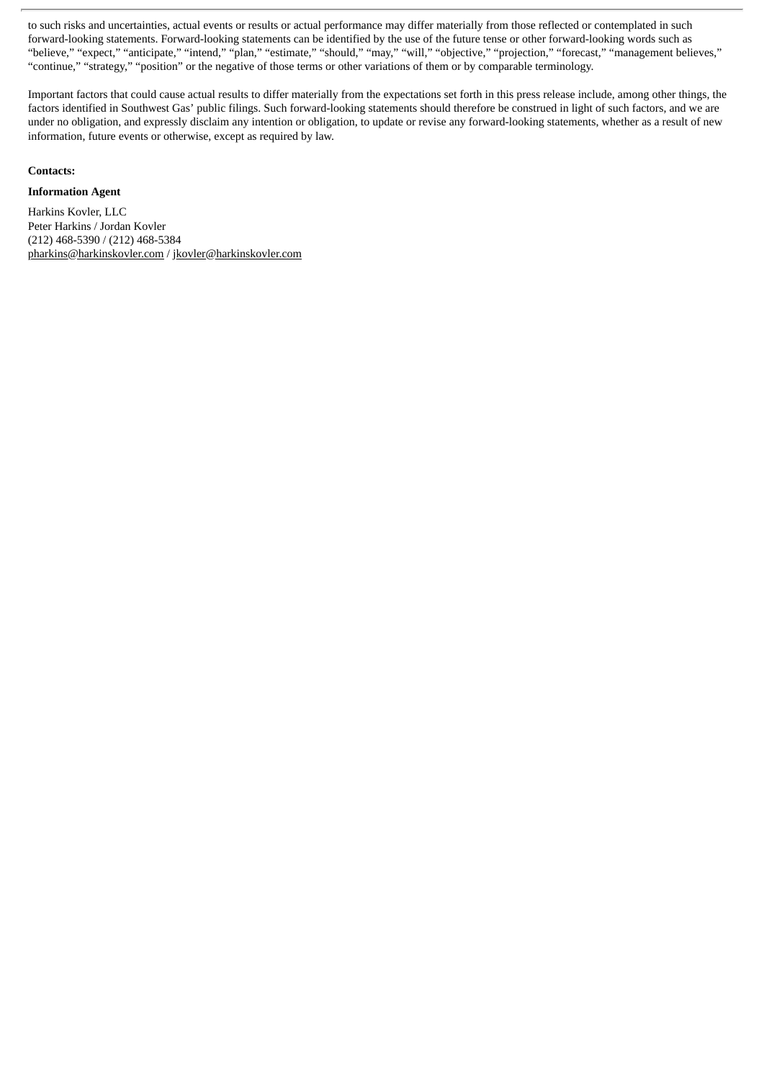to such risks and uncertainties, actual events or results or actual performance may differ materially from those reflected or contemplated in such forward-looking statements. Forward-looking statements can be identified by the use of the future tense or other forward-looking words such as "believe," "expect," "anticipate," "intend," "plan," "estimate," "should," "may," "will," "objective," "projection," "forecast," "management believes," "continue," "strategy," "position" or the negative of those terms or other variations of them or by comparable terminology.

Important factors that could cause actual results to differ materially from the expectations set forth in this press release include, among other things, the factors identified in Southwest Gas' public filings. Such forward-looking statements should therefore be construed in light of such factors, and we are under no obligation, and expressly disclaim any intention or obligation, to update or revise any forward-looking statements, whether as a result of new information, future events or otherwise, except as required by law.

### **Contacts:**

# **Information Agent**

Harkins Kovler, LLC Peter Harkins / Jordan Kovler (212) 468-5390 / (212) 468-5384 pharkins@harkinskovler.com / jkovler@harkinskovler.com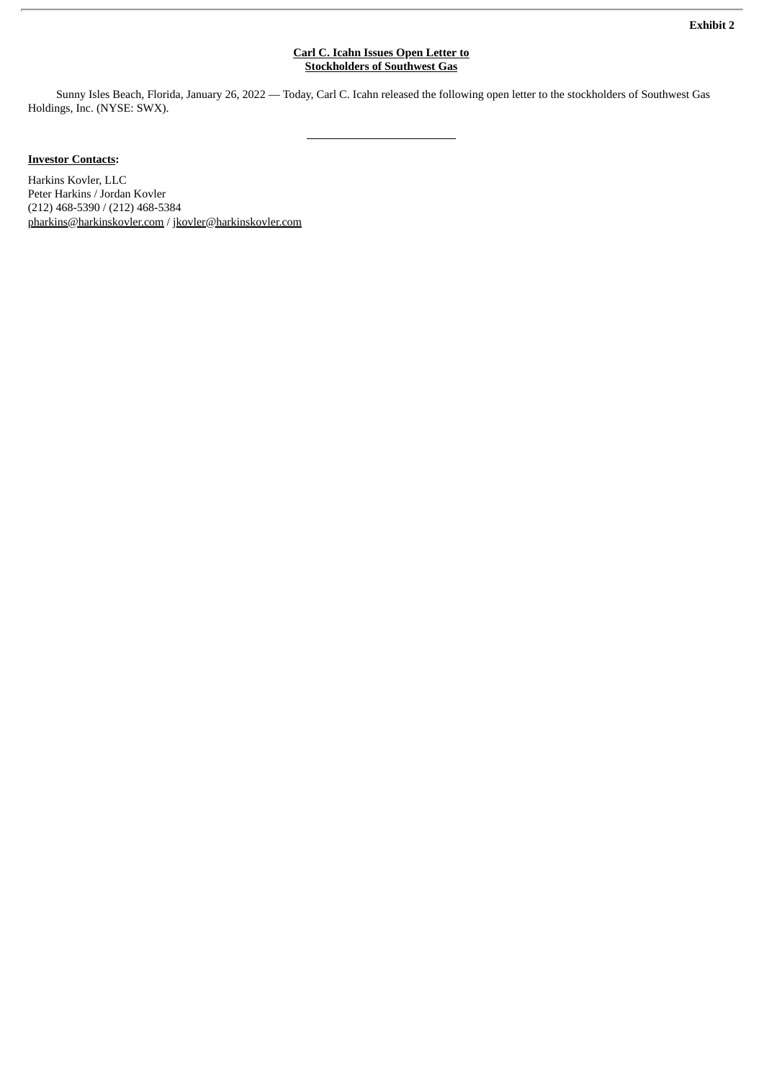#### **Carl C. Icahn Issues Open Letter to Stockholders of Southwest Gas**

Sunny Isles Beach, Florida, January 26, 2022 — Today, Carl C. Icahn released the following open letter to the stockholders of Southwest Gas Holdings, Inc. (NYSE: SWX).

# **Investor Contacts:**

Harkins Kovler, LLC Peter Harkins / Jordan Kovler (212) 468-5390 / (212) 468-5384 pharkins@harkinskovler.com / jkovler@harkinskovler.com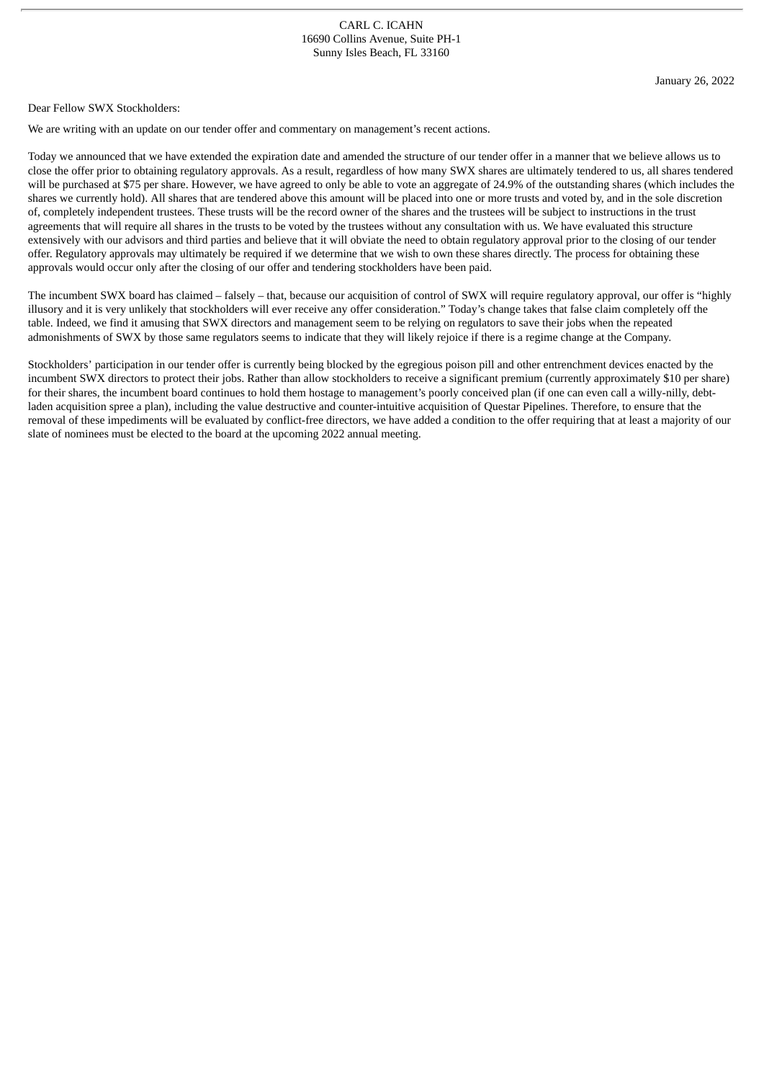Dear Fellow SWX Stockholders:

We are writing with an update on our tender offer and commentary on management's recent actions.

Today we announced that we have extended the expiration date and amended the structure of our tender offer in a manner that we believe allows us to close the offer prior to obtaining regulatory approvals. As a result, regardless of how many SWX shares are ultimately tendered to us, all shares tendered will be purchased at \$75 per share. However, we have agreed to only be able to vote an aggregate of 24.9% of the outstanding shares (which includes the shares we currently hold). All shares that are tendered above this amount will be placed into one or more trusts and voted by, and in the sole discretion of, completely independent trustees. These trusts will be the record owner of the shares and the trustees will be subject to instructions in the trust agreements that will require all shares in the trusts to be voted by the trustees without any consultation with us. We have evaluated this structure extensively with our advisors and third parties and believe that it will obviate the need to obtain regulatory approval prior to the closing of our tender offer. Regulatory approvals may ultimately be required if we determine that we wish to own these shares directly. The process for obtaining these approvals would occur only after the closing of our offer and tendering stockholders have been paid.

The incumbent SWX board has claimed – falsely – that, because our acquisition of control of SWX will require regulatory approval, our offer is "highly illusory and it is very unlikely that stockholders will ever receive any offer consideration." Today's change takes that false claim completely off the table. Indeed, we find it amusing that SWX directors and management seem to be relying on regulators to save their jobs when the repeated admonishments of SWX by those same regulators seems to indicate that they will likely rejoice if there is a regime change at the Company.

Stockholders' participation in our tender offer is currently being blocked by the egregious poison pill and other entrenchment devices enacted by the incumbent SWX directors to protect their jobs. Rather than allow stockholders to receive a significant premium (currently approximately \$10 per share) for their shares, the incumbent board continues to hold them hostage to management's poorly conceived plan (if one can even call a willy-nilly, debtladen acquisition spree a plan), including the value destructive and counter-intuitive acquisition of Questar Pipelines. Therefore, to ensure that the removal of these impediments will be evaluated by conflict-free directors, we have added a condition to the offer requiring that at least a majority of our slate of nominees must be elected to the board at the upcoming 2022 annual meeting.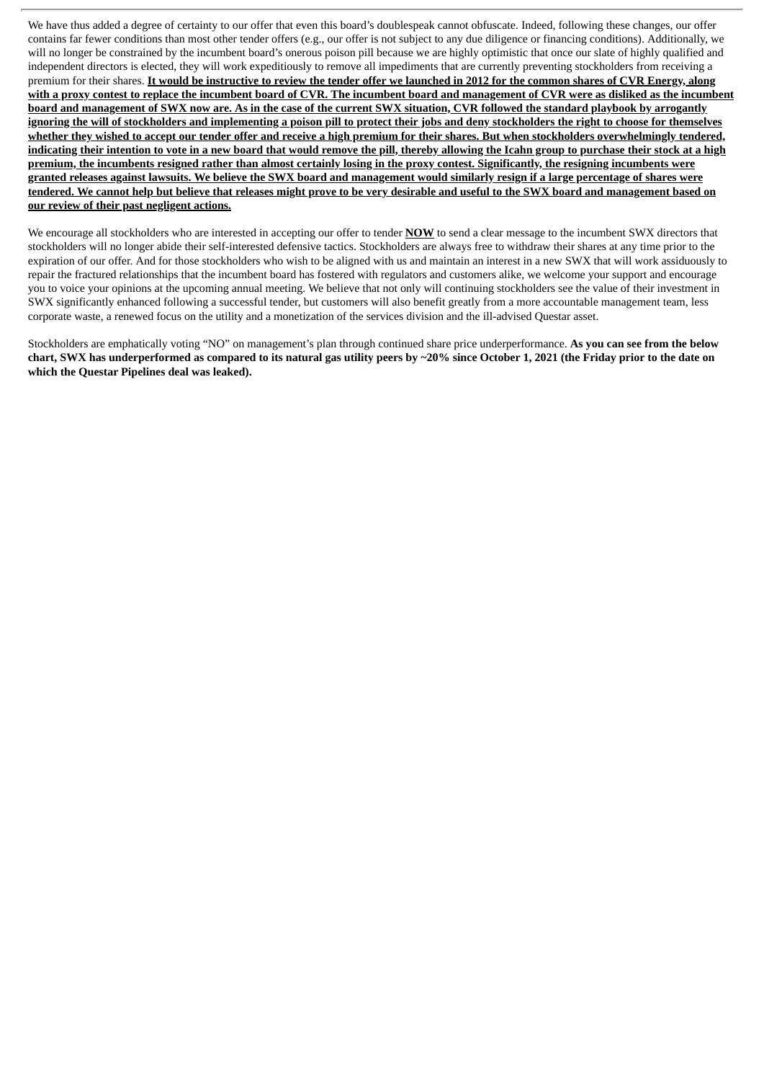We have thus added a degree of certainty to our offer that even this board's doublespeak cannot obfuscate. Indeed, following these changes, our offer contains far fewer conditions than most other tender offers (e.g., our offer is not subject to any due diligence or financing conditions). Additionally, we will no longer be constrained by the incumbent board's onerous poison pill because we are highly optimistic that once our slate of highly qualified and independent directors is elected, they will work expeditiously to remove all impediments that are currently preventing stockholders from receiving a premium for their shares. It would be instructive to review the tender offer we launched in 2012 for the common shares of CVR Energy, along with a proxy contest to replace the incumbent board of CVR. The incumbent board and management of CVR were as disliked as the incumbent board and management of SWX now are. As in the case of the current SWX situation. CVR followed the standard playbook by arrogantly ignoring the will of stockholders and implementing a poison pill to protect their jobs and deny stockholders the right to choose for themselves whether they wished to accept our tender offer and receive a high premium for their shares. But when stockholders overwhelmingly tendered, indicating their intention to vote in a new board that would remove the pill, thereby allowing the Icahn group to purchase their stock at a high premium, the incumbents resigned rather than almost certainly losing in the proxy contest. Significantly, the resigning incumbents were granted releases against lawsuits. We believe the SWX board and management would similarly resign if a large percentage of shares were tendered. We cannot help but believe that releases might prove to be very desirable and useful to the SWX board and management based on **our review of their past negligent actions.**

We encourage all stockholders who are interested in accepting our offer to tender **NOW** to send a clear message to the incumbent SWX directors that stockholders will no longer abide their self-interested defensive tactics. Stockholders are always free to withdraw their shares at any time prior to the expiration of our offer. And for those stockholders who wish to be aligned with us and maintain an interest in a new SWX that will work assiduously to repair the fractured relationships that the incumbent board has fostered with regulators and customers alike, we welcome your support and encourage you to voice your opinions at the upcoming annual meeting. We believe that not only will continuing stockholders see the value of their investment in SWX significantly enhanced following a successful tender, but customers will also benefit greatly from a more accountable management team, less corporate waste, a renewed focus on the utility and a monetization of the services division and the ill-advised Questar asset.

Stockholders are emphatically voting "NO" on management's plan through continued share price underperformance. **As you can see from the below** chart, SWX has underperformed as compared to its natural gas utility peers by ~20% since October 1, 2021 (the Friday prior to the date on **which the Questar Pipelines deal was leaked).**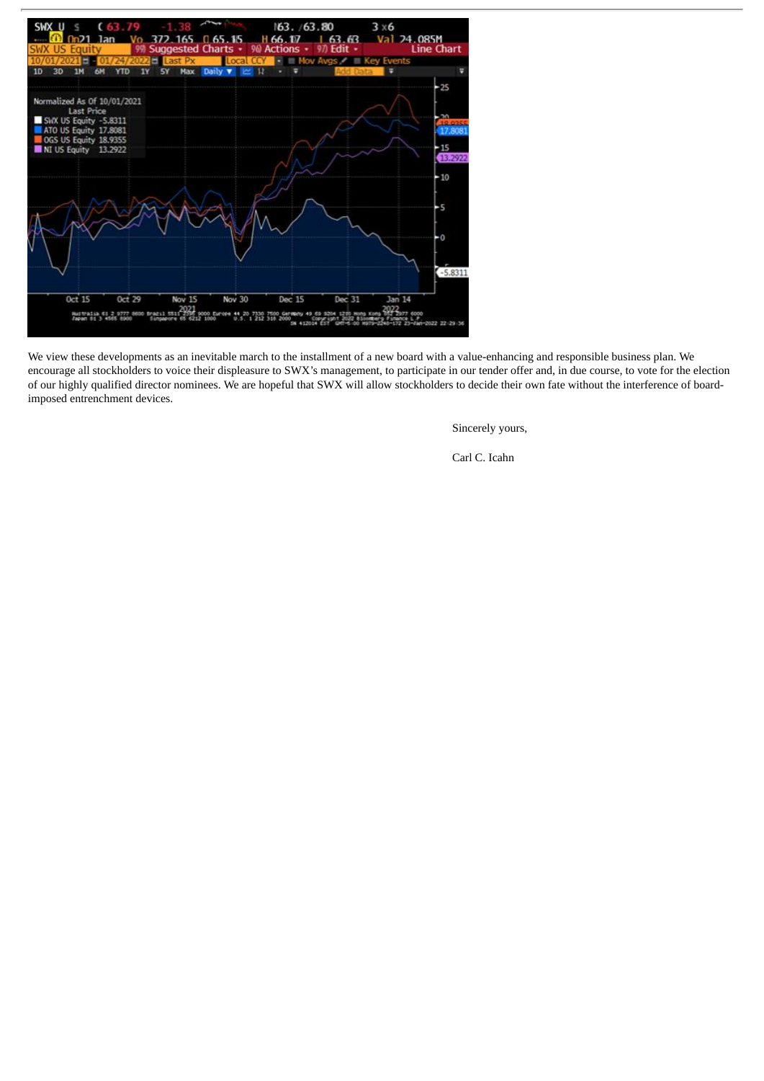

We view these developments as an inevitable march to the installment of a new board with a value-enhancing and responsible business plan. We encourage all stockholders to voice their displeasure to SWX's management, to participate in our tender offer and, in due course, to vote for the election of our highly qualified director nominees. We are hopeful that SWX will allow stockholders to decide their own fate without the interference of boardimposed entrenchment devices.

Sincerely yours,

Carl C. Icahn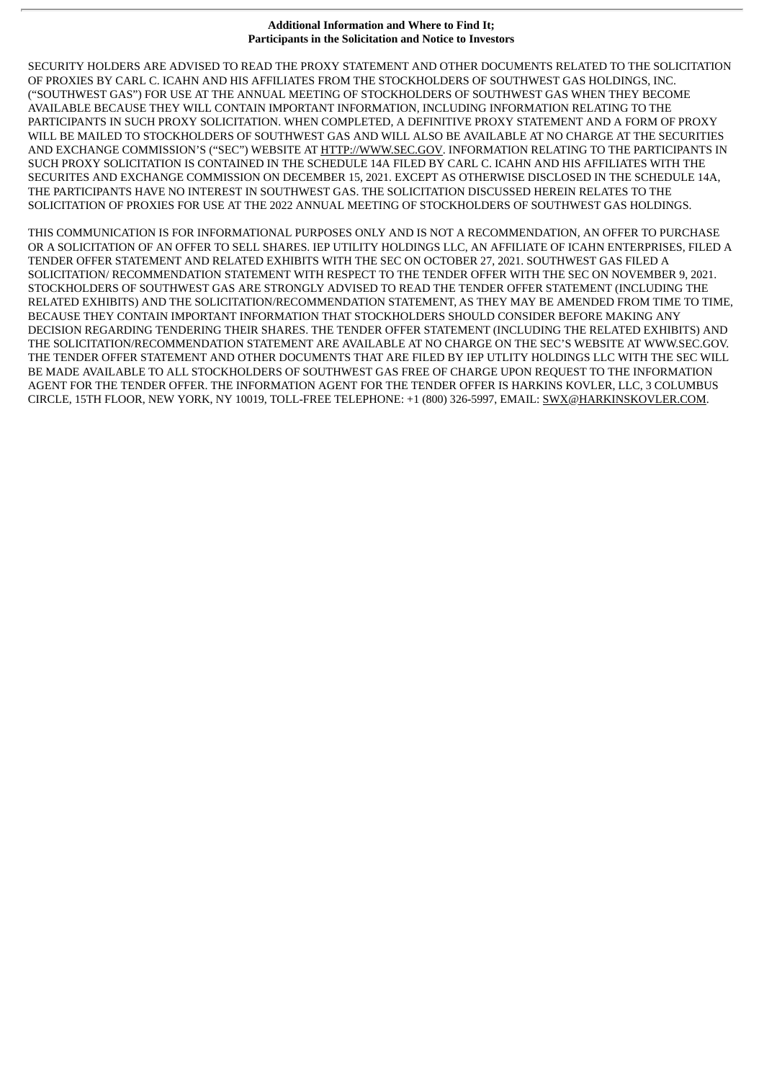#### **Additional Information and Where to Find It; Participants in the Solicitation and Notice to Investors**

SECURITY HOLDERS ARE ADVISED TO READ THE PROXY STATEMENT AND OTHER DOCUMENTS RELATED TO THE SOLICITATION OF PROXIES BY CARL C. ICAHN AND HIS AFFILIATES FROM THE STOCKHOLDERS OF SOUTHWEST GAS HOLDINGS, INC. ("SOUTHWEST GAS") FOR USE AT THE ANNUAL MEETING OF STOCKHOLDERS OF SOUTHWEST GAS WHEN THEY BECOME AVAILABLE BECAUSE THEY WILL CONTAIN IMPORTANT INFORMATION, INCLUDING INFORMATION RELATING TO THE PARTICIPANTS IN SUCH PROXY SOLICITATION. WHEN COMPLETED, A DEFINITIVE PROXY STATEMENT AND A FORM OF PROXY WILL BE MAILED TO STOCKHOLDERS OF SOUTHWEST GAS AND WILL ALSO BE AVAILABLE AT NO CHARGE AT THE SECURITIES AND EXCHANGE COMMISSION'S ("SEC") WEBSITE AT HTTP://WWW.SEC.GOV. INFORMATION RELATING TO THE PARTICIPANTS IN SUCH PROXY SOLICITATION IS CONTAINED IN THE SCHEDULE 14A FILED BY CARL C. ICAHN AND HIS AFFILIATES WITH THE SECURITES AND EXCHANGE COMMISSION ON DECEMBER 15, 2021. EXCEPT AS OTHERWISE DISCLOSED IN THE SCHEDULE 14A, THE PARTICIPANTS HAVE NO INTEREST IN SOUTHWEST GAS. THE SOLICITATION DISCUSSED HEREIN RELATES TO THE SOLICITATION OF PROXIES FOR USE AT THE 2022 ANNUAL MEETING OF STOCKHOLDERS OF SOUTHWEST GAS HOLDINGS.

THIS COMMUNICATION IS FOR INFORMATIONAL PURPOSES ONLY AND IS NOT A RECOMMENDATION, AN OFFER TO PURCHASE OR A SOLICITATION OF AN OFFER TO SELL SHARES. IEP UTILITY HOLDINGS LLC, AN AFFILIATE OF ICAHN ENTERPRISES, FILED A TENDER OFFER STATEMENT AND RELATED EXHIBITS WITH THE SEC ON OCTOBER 27, 2021. SOUTHWEST GAS FILED A SOLICITATION/ RECOMMENDATION STATEMENT WITH RESPECT TO THE TENDER OFFER WITH THE SEC ON NOVEMBER 9, 2021. STOCKHOLDERS OF SOUTHWEST GAS ARE STRONGLY ADVISED TO READ THE TENDER OFFER STATEMENT (INCLUDING THE RELATED EXHIBITS) AND THE SOLICITATION/RECOMMENDATION STATEMENT, AS THEY MAY BE AMENDED FROM TIME TO TIME, BECAUSE THEY CONTAIN IMPORTANT INFORMATION THAT STOCKHOLDERS SHOULD CONSIDER BEFORE MAKING ANY DECISION REGARDING TENDERING THEIR SHARES. THE TENDER OFFER STATEMENT (INCLUDING THE RELATED EXHIBITS) AND THE SOLICITATION/RECOMMENDATION STATEMENT ARE AVAILABLE AT NO CHARGE ON THE SEC'S WEBSITE AT WWW.SEC.GOV. THE TENDER OFFER STATEMENT AND OTHER DOCUMENTS THAT ARE FILED BY IEP UTLITY HOLDINGS LLC WITH THE SEC WILL BE MADE AVAILABLE TO ALL STOCKHOLDERS OF SOUTHWEST GAS FREE OF CHARGE UPON REQUEST TO THE INFORMATION AGENT FOR THE TENDER OFFER. THE INFORMATION AGENT FOR THE TENDER OFFER IS HARKINS KOVLER, LLC, 3 COLUMBUS CIRCLE, 15TH FLOOR, NEW YORK, NY 10019, TOLL-FREE TELEPHONE: +1 (800) 326-5997, EMAIL: SWX@HARKINSKOVLER.COM.